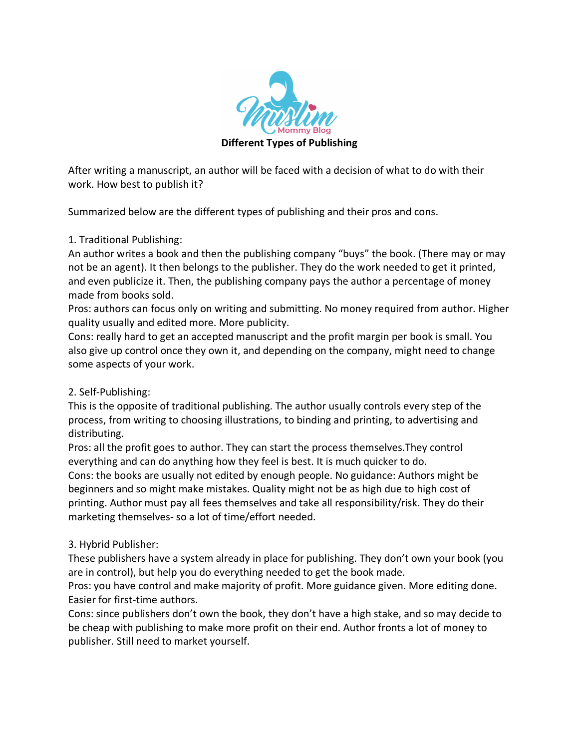

After writing a manuscript, an author will be faced with a decision of what to do with their work. How best to publish it?

Summarized below are the different types of publishing and their pros and cons.

## 1. Traditional Publishing:

An author writes a book and then the publishing company "buys" the book. (There may or may not be an agent). It then belongs to the publisher. They do the work needed to get it printed, and even publicize it. Then, the publishing company pays the author a percentage of money made from books sold.

Pros: authors can focus only on writing and submitting. No money required from author. Higher quality usually and edited more. More publicity.

Cons: really hard to get an accepted manuscript and the profit margin per book is small. You also give up control once they own it, and depending on the company, might need to change some aspects of your work.

## 2. Self-Publishing:

This is the opposite of traditional publishing. The author usually controls every step of the process, from writing to choosing illustrations, to binding and printing, to advertising and distributing.

Pros: all the profit goes to author. They can start the process themselves.They control everything and can do anything how they feel is best. It is much quicker to do.

Cons: the books are usually not edited by enough people. No guidance: Authors might be beginners and so might make mistakes. Quality might not be as high due to high cost of printing. Author must pay all fees themselves and take all responsibility/risk. They do their marketing themselves- so a lot of time/effort needed.

## 3. Hybrid Publisher:

These publishers have a system already in place for publishing. They don't own your book (you are in control), but help you do everything needed to get the book made.

Pros: you have control and make majority of profit. More guidance given. More editing done. Easier for first-time authors.

Cons: since publishers don't own the book, they don't have a high stake, and so may decide to be cheap with publishing to make more profit on their end. Author fronts a lot of money to publisher. Still need to market yourself.